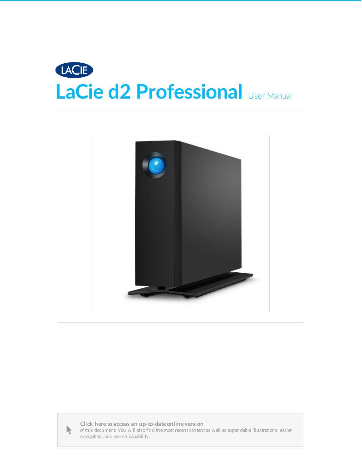





Click here to access an [up-to-date](https://www.lacie.com/manuals/d2-pro/) online version<br>of this document. You will also find the most recent content as well as expandable illustrations, easier<br>navigation, and search capability.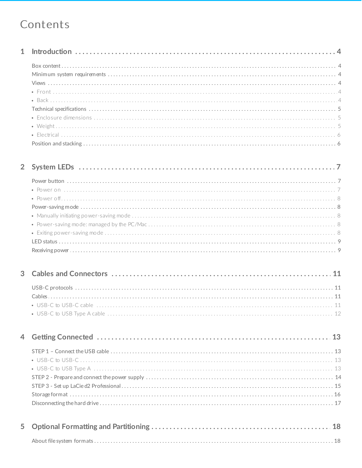### Contents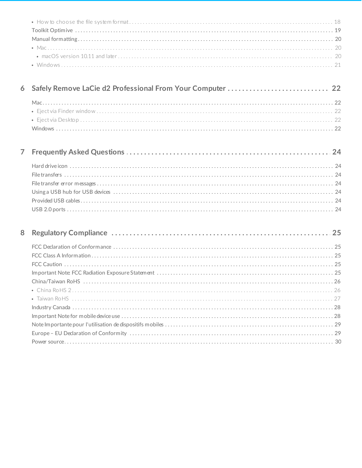| 6 Safely Remove LaCie d2 Professional From Your Computer  22 |  |
|--------------------------------------------------------------|--|
|                                                              |  |
|                                                              |  |
|                                                              |  |
|                                                              |  |

| 8 |  |
|---|--|
|   |  |
|   |  |
|   |  |
|   |  |
|   |  |
|   |  |
|   |  |
|   |  |
|   |  |
|   |  |
|   |  |
|   |  |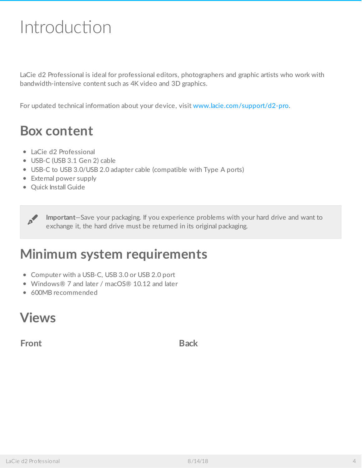# <span id="page-3-0"></span>Introduction

LaCie d2 Professional is ideal for professional editors, photographers and graphic artists who work with bandwidth-intensive content such as 4K video and 3D graphics.

For updated technical information about your device, visit [www.lacie.com/support/d2-pro](https://www.lacie.com/support/desktop-storage/d2-professional/).

### <span id="page-3-1"></span>**Box content**

- LaCie d2 Professional
- USB-C (USB 3.1 Gen 2) cable
- USB-C to USB 3.0/USB 2.0 adapter cable (compatible with Type A ports)
- External power supply
- Quick Install Guide

**Important**—Save your packaging. If you experience problems with your hard drive and want to exchange it, the hard drive must be returned in its original packaging.

### <span id="page-3-2"></span>**Minimum system requirements**

- Computer with a USB-C, USB 3.0 or USB 2.0 port
- Windows® 7 and later / macOS® 10.12 and later
- 600MB recommended

### <span id="page-3-3"></span>**Views**

<span id="page-3-4"></span>**Front Back**

<span id="page-3-5"></span>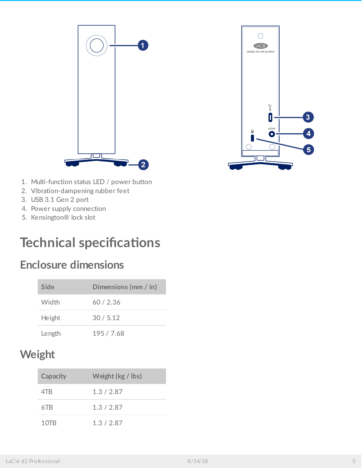



- 1. Multi-function status LED / power button
- 2. Vibration-dampening rubber feet
- 3. USB 3.1 Gen 2 port
- 4. Power supply connection
- 5. Kensington® lock slot

### <span id="page-4-0"></span>**Technical specifications**

### <span id="page-4-1"></span>**Enclosure dimensions**

| Side   | Dimensions (mm / in) |
|--------|----------------------|
| Width  | 60/2.36              |
| Height | 30/5.12              |
| Length | 195 / 7.68           |

### <span id="page-4-2"></span>**Weight**

| <b>Capacity</b> | Weight (kg / lbs) |
|-----------------|-------------------|
| 4TR             | 1.3/2.87          |
| 6TB             | 1.3/2.87          |
| 10TB            | 1.3 / 2.87        |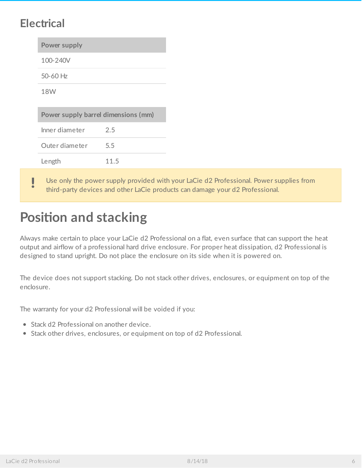### <span id="page-5-0"></span>**Electrical**

| Power supply                        |      |
|-------------------------------------|------|
| 100-240V                            |      |
| 50-60 Hz                            |      |
| <b>18W</b>                          |      |
| Power supply barrel dimensions (mm) |      |
|                                     |      |
| Inner diameter                      | 2.5  |
| Outer diameter                      | 5.5  |
| Length                              | 11.5 |

Use only the power supply provided with your LaCie d2 Professional. Power supplies from third-party devices and other LaCie products can damage your d2 Professional.

# <span id="page-5-1"></span>**Position and stacking**

Always make certain to place your LaCie d2 Professional on a flat, even surface that can support the heat output and airflow of a professional hard drive enclosure. For proper heat dissipation, d2 Professional is designed to stand upright. Do not place the enclosure on its side when it is powered on.

The device does not support stacking. Do not stack other drives, enclosures, or equipment on top of the enclosure.

The warranty for your d2 Professional will be voided if you:

- Stack d2 Professional on another device.
- Stack other drives, enclosures, or equipment on top of d2 Professional.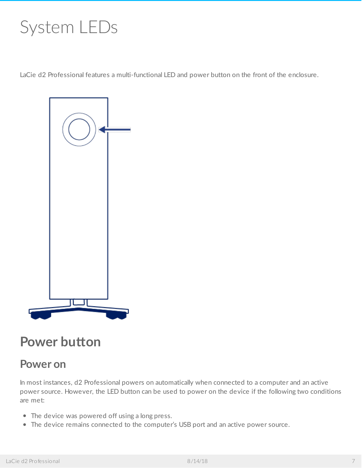# <span id="page-6-0"></span>System LEDs

LaCie d2 Professional features a multi-functional LED and power button on the front of the enclosure.



### <span id="page-6-1"></span>**Power** button

### <span id="page-6-2"></span>**Power on**

In most instances, d2 Professional powers on automatically when connected to a computer and an active power source. However, the LED button can be used to power on the device if the following two conditions are met:

- The device was powered off using a long press.
- The device remains connected to the computer's USB port and an active power source.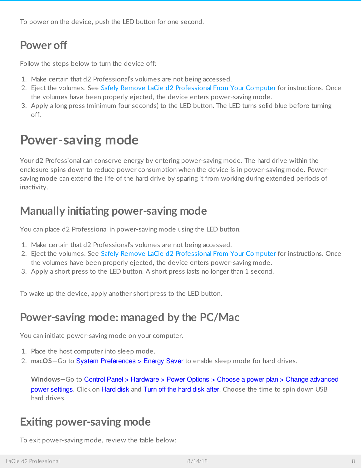To power on the device, push the LED button for one second.

### <span id="page-7-0"></span>**Power off**

Follow the steps below to turn the device off:

- 1. Make certain that d2 Professional's volumes are not being accessed.
- 2. Eject the volumes. See Safely Remove LaCie d2 [Professional](https://www.lacie.com/manuals/d2-pro/safely-remove-lacie-d2-pro/) From Your Computer for instructions. Once the volumes have been properly ejected, the device enters power-saving mode.
- 3. Apply a long press (minimum four seconds) to the LED button. The LED turns solid blue before turning off.

## <span id="page-7-1"></span>**Power-saving mode**

Your d2 Professional can conserve energy by entering power-saving mode. The hard drive within the enclosure spins down to reduce power consumption when the device is in power-saving mode. Powersaving mode can extend the life of the hard drive by sparing it from working during extended periods of inactivity.

### <span id="page-7-2"></span>**Manually initiating power-saving mode**

You can place d2 Professional in power-saving mode using the LED button.

- 1. Make certain that d2 Professional's volumes are not being accessed.
- 2. Eject the volumes. See Safely Remove LaCie d2 [Professional](https://www.lacie.com/manuals/d2-pro/safely-remove-lacie-d2-pro/) From Your Computer for instructions. Once the volumes have been properly ejected, the device enters power-saving mode.
- 3. Apply a short press to the LED button. A short press lasts no longer than 1 second.

To wake up the device, apply another short press to the LED button.

### <span id="page-7-3"></span>**Power-saving mode: managed by the PC/Mac**

You can initiate power-saving mode on your computer.

- 1. Place the host computer into sleep mode.
- 2. **macOS**—Go to System Preferences > Energy Saver to enable sleep mode for hard drives.

**Windows**—Go to Control Panel > Hardware > Power Options > Choose a power plan > Change advanced power settings. Click on Hard disk and Turn off the hard disk after. Choose the time to spin down USB hard drives.

### <span id="page-7-4"></span>**Exiting power-saving mode**

To exit power-saving mode, review the table below: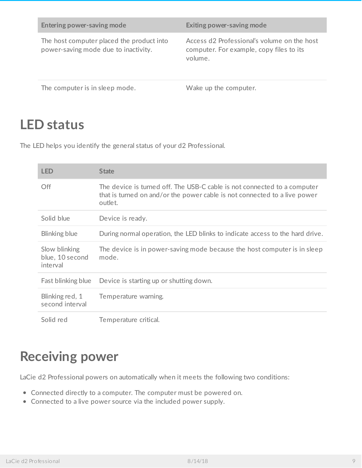| Entering power-saving mode                                                        | Exiting power-saving mode                                                                          |
|-----------------------------------------------------------------------------------|----------------------------------------------------------------------------------------------------|
| The host computer placed the product into<br>power-saving mode due to inactivity. | Access d2 Professional's volume on the host<br>computer. For example, copy files to its<br>volume. |
| The computer is in sleep mode.                                                    | Wake up the computer.                                                                              |

### <span id="page-8-0"></span>**LED status**

The LED helps you identify the general status of your d2 Professional.

| <b>LED</b>                                   | <b>State</b>                                                                                                                                                     |
|----------------------------------------------|------------------------------------------------------------------------------------------------------------------------------------------------------------------|
| Off                                          | The device is turned off. The USB-C cable is not connected to a computer<br>that is turned on and/or the power cable is not connected to a live power<br>outlet. |
| Solid blue                                   | Device is ready.                                                                                                                                                 |
| Blinking blue                                | During normal operation, the LED blinks to indicate access to the hard drive.                                                                                    |
| Slow blinking<br>blue, 10 second<br>interval | The device is in power-saving mode because the host computer is in sleep<br>mode.                                                                                |
| Fast blinking blue                           | Device is starting up or shutting down.                                                                                                                          |
| Blinking red, 1<br>second interval           | Temperature warning.                                                                                                                                             |
| Solid red                                    | Temperature critical.                                                                                                                                            |

### <span id="page-8-1"></span>**Receiving power**

LaCie d2 Professional powers on automatically when it meets the following two conditions:

- Connected directly to a computer. The computer must be powered on.
- Connected to a live power source via the included power supply.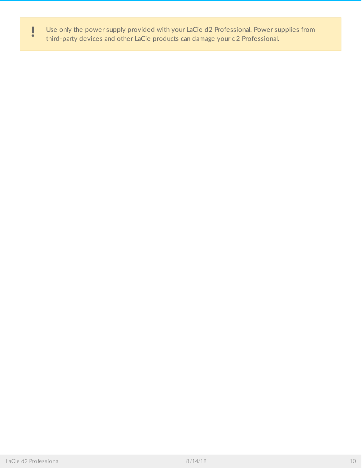Use only the power supply provided with your LaCie d2 Professional. Power supplies from third-party devices and other LaCie products can damage your d2 Professional.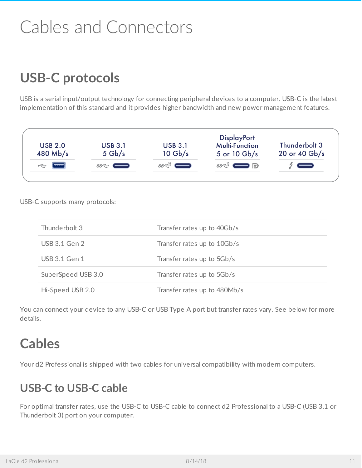# <span id="page-10-0"></span>Cables and Connectors

# <span id="page-10-1"></span>**USB-C protocols**

USB is a serial input/output technology for connecting peripheral devices to a computer. USB-C is the latest implementation of this standard and it provides higher bandwidth and new power management features.



USB-C supports many protocols:

| Thunderbolt 3      | Transfer rates up to 40Gb/s  |
|--------------------|------------------------------|
| USB 3.1 Gen 2      | Transfer rates up to 10Gb/s  |
| USB 3.1 Gen 1      | Transfer rates up to 5Gb/s   |
| SuperSpeed USB 3.0 | Transfer rates up to 5Gb/s   |
| Hi-Speed USB 2.0   | Transfer rates up to 480Mb/s |

You can connect your device to any USB-C or USB Type A port but transfer rates vary. See below for more details.

### <span id="page-10-2"></span>**Cables**

Your d2 Professional is shipped with two cables for universal compatibility with modern computers.

### <span id="page-10-3"></span>**USB-C to USB-C cable**

For optimal transfer rates, use the USB-C to USB-C cable to connect d2 Professional to a USB-C (USB 3.1 or Thunderbolt 3) port on your computer.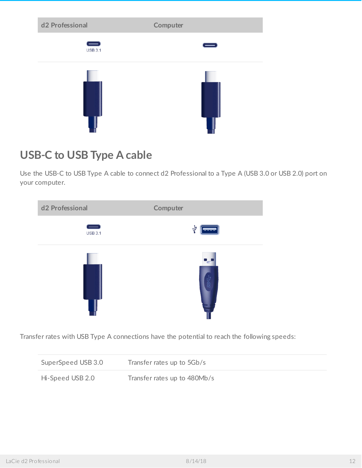| d <sub>2</sub> Professional | Computer |
|-----------------------------|----------|
| $\equiv$<br><b>USB 3.1</b>  |          |
|                             |          |

### <span id="page-11-0"></span>**USB-C to USB Type A cable**

Use the USB-C to USB Type A cable to connect d2 Professional to a Type A (USB 3.0 or USB 2.0) port on your computer.



Transfer rates with USB Type A connections have the potential to reach the following speeds:

| SuperSpeed USB 3.0 | Transfer rates up to 5Gb/s   |
|--------------------|------------------------------|
| Hi-Speed USB 2.0   | Transfer rates up to 480Mb/s |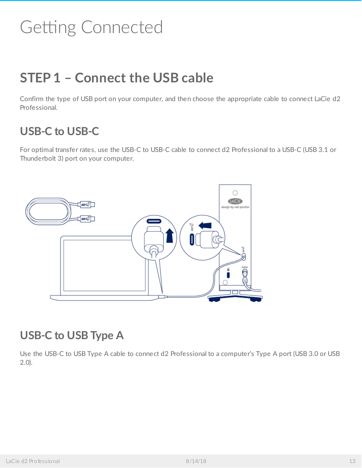# <span id="page-12-0"></span>Getting Connected

# <span id="page-12-1"></span>**STEP 1 – Connect the USB cable**

Confirm the type of USB port on your computer, and then choose the appropriate cable to connect LaCie d2 Professional.

### <span id="page-12-2"></span>**USB-C to USB-C**

For optimal transfer rates, use the USB-C to USB-C cable to connect d2 Professional to a USB-C (USB 3.1 or Thunderbolt 3) port on your computer.



### <span id="page-12-3"></span>**USB-C to USB Type A**

Use the USB-C to USB Type A cable to connect d2 Professional to a computer's Type A port (USB 3.0 or USB 2.0).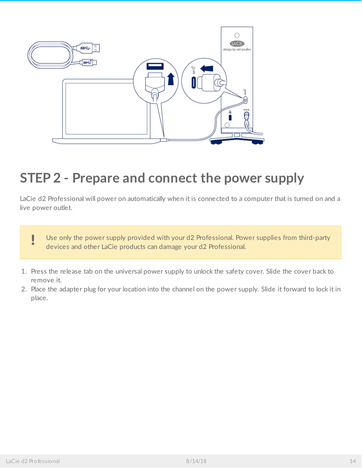

# <span id="page-13-0"></span>**STEP 2 - Prepare and connect the power supply**

LaCie d2 Professional will power on automatically when it is connected to a computer that is turned on and a live power outlet.



- 1. Press the release tab on the universal power supply to unlock the safety cover. Slide the cover back to remove it.
- 2. Place the adapter plug for your location into the channel on the power supply. Slide it forward to lock it in place.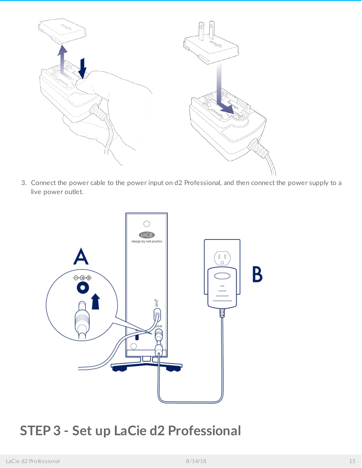

3. Connect the power cable to the power input on d2 Professional, and then connect the power supply to a live power outlet.



# <span id="page-14-0"></span>**STEP 3 - Set up LaCie d2 Professional**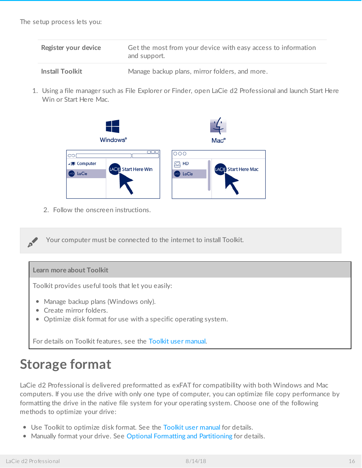| Register your device   | Get the most from your device with easy access to information<br>and support. |
|------------------------|-------------------------------------------------------------------------------|
| <b>Install Toolkit</b> | Manage backup plans, mirror folders, and more.                                |

1. Using a file manager such as File Explorer or Finder, open LaCie d2 Professional and launch Start Here Win or Start Here Mac.



2. Follow the onscreen instructions.

Your computer must be connected to the internet to install Toolkit.

#### **Learn more about Toolkit**

Toolkit provides useful tools that let you easily:

- Manage backup plans (Windows only).
- Create mirror folders.
- Optimize disk format for use with a specific operating system.

For details on Toolkit features, see the [Toolkit](https://www.lacie.com/manuals/software/toolkit/) user manual.

### <span id="page-15-0"></span>**Storage format**

LaCie d2 Professional is delivered preformatted as exFAT for compatibility with both Windows and Mac computers. If you use the drive with only one type of computer, you can optimize file copy performance by formatting the drive in the native file system for your operating system. Choose one of the following methods to optimize your drive:

- **•** Use Toolkit to optimize disk format. See the Toolkit user [manual](https://www.lacie.com/manuals/software/toolkit/) for details.
- Manually format your drive. See Optional Formatting and [Partitioning](https://www.lacie.com/manuals/d2-pro/formatting-and-partitioning/) for details.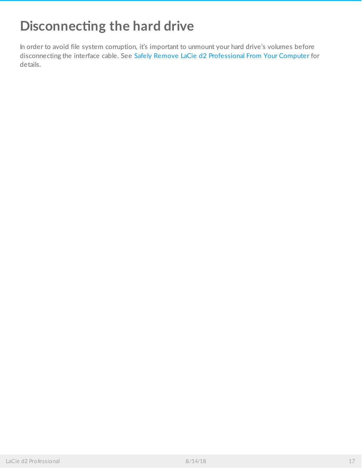# <span id="page-16-0"></span>**Disconnecting the hard drive**

In order to avoid file system corruption, it's important to unmount your hard drive's volumes before disconnecting the interface cable. See Safely Remove LaCie d2 [Professional](https://www.lacie.com/manuals/d2-pro/safely-remove-lacie-d2-pro/) From Your Computer for details.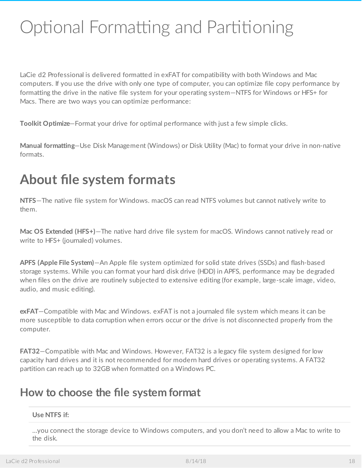# <span id="page-17-0"></span>Optional Formatting and Partitioning

LaCie d2 Professional is delivered formatted in exFAT for compatibility with both Windows and Mac computers. If you use the drive with only one type of computer, you can optimize file copy performance by formatting the drive in the native file system for your operating system—NTFS for Windows or HFS+ for Macs. There are two ways you can optimize performance:

**Toolkit Optimize**—Format your drive for optimal performance with just a few simple clicks.

**Manual formatting**—Use Disk Management (Windows) or Disk Utility (Mac) to format your drive in non-native formats.

### <span id="page-17-1"></span>**About file system formats**

**NTFS**—The native file system for Windows. macOS can read NTFS volumes but cannot natively write to them.

**Mac OS Extended (HFS+)**—The native hard drive file system for macOS. Windows cannot natively read or write to HFS+ (journaled) volumes.

**APFS (Apple File System)**—An Apple file system optimized for solid state drives (SSDs) and flash-based storage systems. While you can format your hard disk drive (HDD) in APFS, performance may be degraded when files on the drive are routinely subjected to extensive editing (for example, large-scale image, video, audio, and music editing).

**exFAT**—Compatible with Mac and Windows. exFAT is not a journaled file system which means it can be more susceptible to data corruption when errors occur or the drive is not disconnected properly from the computer.

**FAT32**—Compatible with Mac and Windows. However, FAT32 is a legacy file system designed for low capacity hard drives and it is not recommended for modern hard drives or operating systems. A FAT32 partition can reach up to 32GB when formatted on a Windows PC.

### <span id="page-17-2"></span>**How to choose the file system format**

#### **Use NTFS if:**

…you connect the storage device to Windows computers, and you don't need to allow a Mac to write to the disk.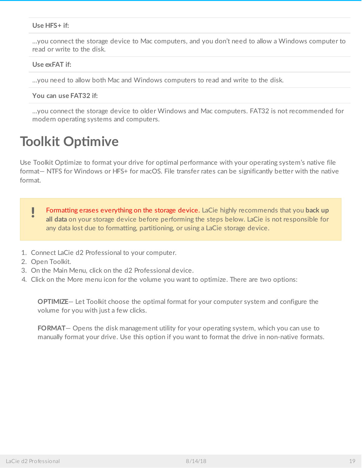#### **Use HFS+ if:**

…you connect the storage device to Mac computers, and you don't need to allow a Windows computer to read or write to the disk.

#### **Use exFAT if:**

…you need to allow both Mac and Windows computers to read and write to the disk.

**You can use FAT32 if:**

…you connect the storage device to older Windows and Mac computers. FAT32 is not recommended for modern operating systems and computers.

### <span id="page-18-0"></span>**Toolkit Optimive**

Use Toolkit Optimize to format your drive for optimal performance with your operating system's native file format— NTFS for Windows or HFS+ for macOS. File transfer rates can be significantly better with the native format.

- Formatting erases everything on the storage device. LaCie highly recommends that you **back up all data** on your storage device before performing the steps below. LaCie is not responsible for any data lost due to formatting, partitioning, or using a LaCie storage device. U
- 1. Connect LaCie d2 Professional to your computer.
- 2. Open Toolkit.
- 3. On the Main Menu, click on the d2 Professional device.
- 4. Click on the More menu icon for the volume you want to optimize. There are two options:

**OPTIMIZE**— Let Toolkit choose the optimal format for your computer system and configure the volume for you with just a few clicks.

**FORMAT**— Opens the disk management utility for your operating system, which you can use to manually format your drive. Use this option if you want to format the drive in non-native formats.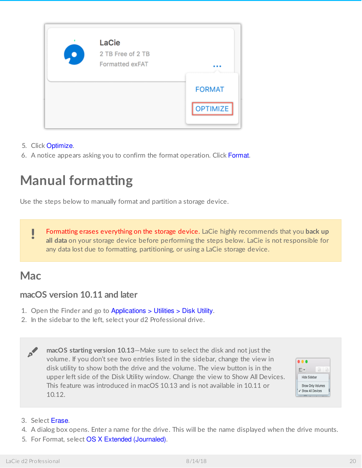

- 5. Click Optimize.
- 6. A notice appears asking you to confirm the format operation. Click Format.

# <span id="page-19-0"></span>**Manual formatting**

Use the steps below to manually format and partition a storage device.

Formatting erases everything on the storage device. LaCie highly recommends that you **back up all data** on your storage device before performing the steps below. LaCie is not responsible for any data lost due to formatting, partitioning, or using a LaCie storage device. U

### <span id="page-19-1"></span>**Mac**

#### <span id="page-19-2"></span>**macOS version 10.11 and later**

- 1. Open the Finder and go to Applications > Utilities > Disk Utility.
- 2. In the sidebar to the left, select your d2 Professional drive.

**macOS starting version 10.13**—Make sure to select the disk and not just the volume. If you don't see two entries listed in the sidebar, change the view in disk utility to show both the drive and the volume. The view button is in the upper left side of the Disk Utility window. Change the view to Show All Devices. This feature was introduced in macOS 10.13 and is not available in 10.11 or 10.12. A



#### 3. Select Erase.

- 4. A dialog box opens. Enter a name for the drive. This will be the name displayed when the drive mounts.
- 5. For Format, select OS X Extended (Journaled).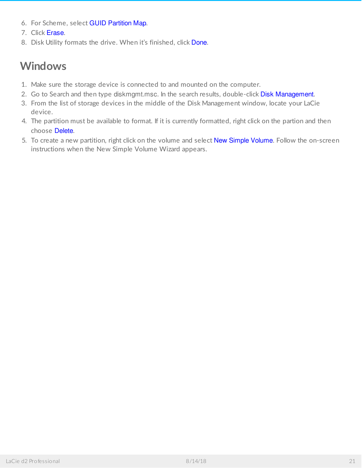- 6. For Scheme, select GUID Partition Map.
- 7. Click Erase.
- 8. Disk Utility formats the drive. When it's finished, click Done.

### <span id="page-20-0"></span>**Windows**

- 1. Make sure the storage device is connected to and mounted on the computer.
- 2. Go to Search and then type diskmgmt.msc. In the search results, double-click Disk Management.
- 3. From the list of storage devices in the middle of the Disk Management window, locate your LaCie device.
- 4. The partition must be available to format. If it is currently formatted, right click on the partion and then choose Delete.
- 5. To create a new partition, right click on the volume and select New Simple Volume. Follow the on-screen instructions when the New Simple Volume Wizard appears.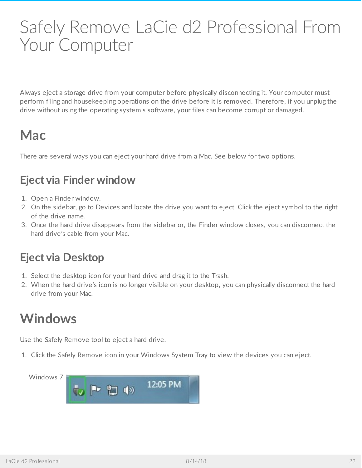# <span id="page-21-0"></span>Safely Remove LaCie d2 Professional From Your Computer

Always eject a storage drive from your computer before physically disconnecting it. Your computer must perform filing and housekeeping operations on the drive before it is removed. Therefore, if you unplug the drive without using the operating system's software, your files can become corrupt or damaged.

# <span id="page-21-1"></span>**Mac**

There are several ways you can eject your hard drive from a Mac. See below for two options.

### <span id="page-21-2"></span>**Eject via Finder window**

- 1. Open a Finder window.
- 2. On the sidebar, go to Devices and locate the drive you want to eject. Click the eject symbol to the right of the drive name.
- 3. Once the hard drive disappears from the sidebar or, the Finder window closes, you can disconnect the hard drive's cable from your Mac.

### <span id="page-21-3"></span>**Eject via Desktop**

- 1. Select the desktop icon for your hard drive and drag it to the Trash.
- 2. When the hard drive's icon is no longer visible on your desktop, you can physically disconnect the hard drive from your Mac.

# <span id="page-21-4"></span>**Windows**

Use the Safely Remove tool to eject a hard drive.

1. Click the Safely Remove icon in your Windows System Tray to view the devices you can eject.

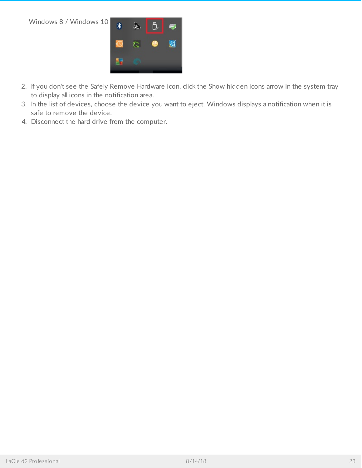Windows 8 / Windows 10



- 2. If you don't see the Safely Remove Hardware icon, click the Show hidden icons arrow in the system tray to display all icons in the notification area.
- 3. In the list of devices, choose the device you want to eject. Windows displays a notification when it is safe to remove the device.
- 4. Disconnect the hard drive from the computer.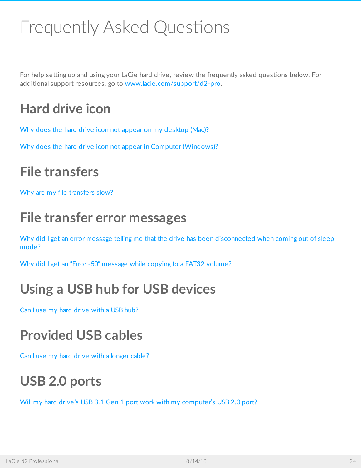# <span id="page-23-0"></span>Frequently Asked Questions

For help setting up and using your LaCie hard drive, review the frequently asked questions below. For additional support resources, go to [www.lacie.com/support/d2-pro](https://www.lacie.com/support/desktop-storage/d2-professional/).

# <span id="page-23-1"></span>**Hard drive icon**

Why does the hard drive icon not appear on my [desktop](#page-23-7) (Mac)?

<span id="page-23-7"></span>Why does the hard drive icon not appear in Computer [\(Windows\)?](#page-23-8)

## <span id="page-23-11"></span><span id="page-23-9"></span><span id="page-23-8"></span><span id="page-23-2"></span>**File [transfers](#page-23-10)**

<span id="page-23-12"></span>Why are my file [transfers](#page-23-13) slow?

## <span id="page-23-14"></span><span id="page-23-13"></span><span id="page-23-10"></span><span id="page-23-3"></span>**File transfer error [messages](https://www.lacie.com/manuals/d2-pro/d2-getting-connected/)**

<span id="page-23-15"></span>Why did I get an error [message](#page-23-16) telling me that the drive has been [disconnected](#page-23-17) when coming out of sleep mode?

<span id="page-23-17"></span><span id="page-23-16"></span>Why did I get an "Error -50" [message](#page-23-18) while copying to a FAT32 volume?

# <span id="page-23-18"></span><span id="page-23-4"></span>**Using a USB hub for USB devices**

Can I use my hard [drive](#page-23-19) with a USB hub?

# <span id="page-23-19"></span><span id="page-23-5"></span>**Provided USB cables**

Can I use my hard drive with a [longer](#page-23-20) cable?

# <span id="page-23-20"></span><span id="page-23-6"></span>**USB 2.0 ports**

<span id="page-23-21"></span>Will my hard drive's USB 3.1 Gen 1 port work with my [computer's](#page-23-21) USB 2.0 port?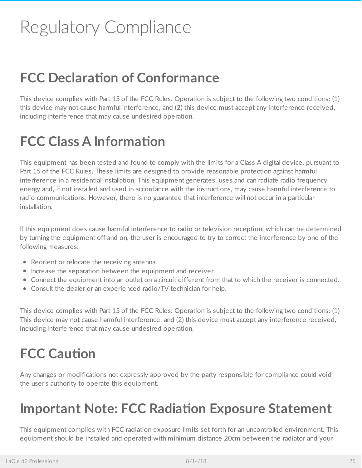# <span id="page-24-0"></span>Regulatory Compliance

# <span id="page-24-1"></span>**FCC Declara7on of Conformance**

This device complies with Part 15 of the FCC Rules. Operation is subject to the following two conditions: (1) this device may not cause harmful interference, and (2) this device must accept any interference received, including interference that may cause undesired operation.

# <span id="page-24-2"></span>**FCC Class A Information**

This equipment has been tested and found to comply with the limits for a Class A digital device, pursuant to Part 15 of the FCC Rules. These limits are designed to provide reasonable protection against harmful interference in a residential installation. This equipment generates, uses and can radiate radio frequency energy and, if not installed and used in accordance with the instructions, may cause harmful interference to radio communications. However, there is no guarantee that interference will not occur in a particular installation.

If this equipment does cause harmful interference to radio or television reception, which can be determined by turning the equipment off and on, the user is encouraged to try to correct the interference by one of the following measures:

- Reorient or relocate the receiving antenna.
- Increase the separation between the equipment and receiver.
- Connect the equipment into an outlet on a circuit different from that to which the receiver is connected.
- Consult the dealer or an experienced radio/TV technician for help.

This device complies with Part 15 of the FCC Rules. Operation is subject to the following two conditions: (1) This device may not cause harmful interference, and (2) this device must accept any interference received, including interference that may cause undesired operation.

# <span id="page-24-3"></span>**FCC** Caution

Any changes or modifications not expressly approved by the party responsible for compliance could void the user's authority to operate this equipment.

# <span id="page-24-4"></span>**Important Note: FCC Radia7on Exposure Statement**

This equipment complies with FCC radiation exposure limits set forth for an uncontrolled environment. This equipment should be installed and operated with minimum distance 20cm between the radiator and your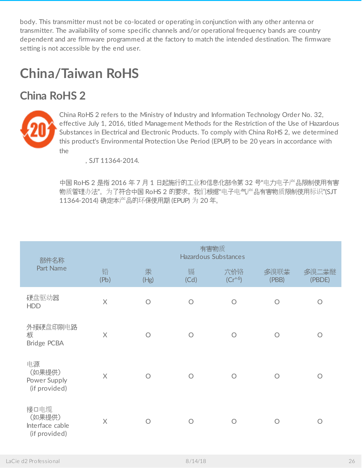body. This transmitter must not be co-located or operating in conjunction with any other antenna or transmitter. The availability of some specific channels and/or operational frequency bands are country dependent and are firmware programmed at the factory to match the intended destination. The firmware setting is not accessible by the end user.

# <span id="page-25-0"></span>**China/Taiwan RoHS**

### <span id="page-25-1"></span>**China RoHS 2**



China RoHS 2 refers to the Ministry of Industry and Information Technology Order No. 32, effective July 1, 2016, titled Management Methods for the Restriction of the Use of Hazardous Substances in Electrical and Electronic Products. To comply with China RoHS 2, we determined this product's Environmental Protection Use Period (EPUP) to be 20 years in accordance with the

, SJT 11364-2014.

中国 RoHS 2 是指 2016 年 7 月 1 日起施行的工业和信息化部令第 32 号"电力电子产品限制使用有害 物质管理办法"。为了符合中国 RoHS 2 的要求, 我们根据"电子电气产品有害物质限制使用标识"(SJT 11364-2014) 确定本产品的环保使用期 (EPUP) 为 20 年。

| 部件名称                                               |           | 有害物质<br>Hazardous Substances |            |                    |               |                 |  |  |
|----------------------------------------------------|-----------|------------------------------|------------|--------------------|---------------|-----------------|--|--|
| Part Name                                          | 铅<br>(Pb) | 汞<br>(Hg)                    | 镉<br>(Cd)  | 六价铬<br>$(Cr^{+6})$ | 多溴联苯<br>(PBB) | 多溴二苯醚<br>(PBDE) |  |  |
| 硬盘驱动器<br><b>HDD</b>                                | $\times$  | $\bigcirc$                   | $\bigcirc$ | $\bigcirc$         | $\bigcirc$    | $\circ$         |  |  |
| 外接硬盘印刷电路<br>板<br>Bridge PCBA                       | $\times$  | $\bigcirc$                   | $\bigcirc$ | $\bigcirc$         | $\bigcirc$    | $\bigcirc$      |  |  |
| 电源<br>(如果提供)<br>Power Supply<br>(if provided)      | $\times$  | $\bigcap$                    | $\bigcap$  | $\bigcap$          | $\bigcap$     | $\bigcirc$      |  |  |
| 接口电缆<br>(如果提供)<br>Interface cable<br>(if provided) | $\times$  | $\bigcap$                    | $\bigcap$  | $\bigcap$          | ∩             | $\bigcirc$      |  |  |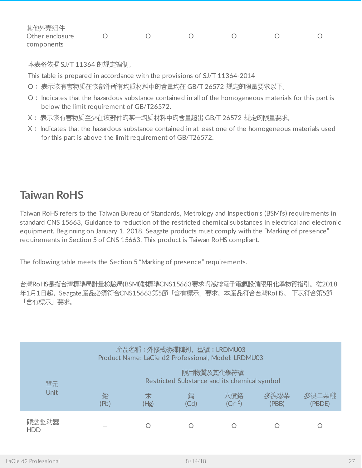| 其他外壳组件          |  |  |  |
|-----------------|--|--|--|
| Other enclosure |  |  |  |
| components      |  |  |  |

本表格依据 SJ/T 11364 的规定编制。

This table is prepared in accordance with the provisions of SJ/T 11364-2014

- O: 表示该有害物质在该部件所有均质材料中的含量均在 GB/T 26572 规定的限量要求以下。
- O: Indicates that the hazardous substance contained in all of the homogeneous materials for this part is below the limit requirement of GB/T26572.
- X: 表示该有害物质至少在该部件的某一均质材料中的含量超出 GB/T 26572 规定的限量要求。
- X: Indicates that the hazardous substance contained in at least one of the homogeneous materials used for this part is above the limit requirement of GB/T26572.

### <span id="page-26-0"></span>**Taiwan RoHS**

Taiwan RoHS refers to the Taiwan Bureau of Standards, Metrology and Inspection's (BSMI's) requirements in standard CNS 15663, Guidance to reduction of the restricted chemical substances in electrical and electronic equipment. Beginning on January 1, 2018, Seagate products must comply with the "Marking of presence" requirements in Section 5 of CNS 15663. This product is Taiwan RoHS compliant.

The following table meets the Section 5 "Marking of presence" requirements.

台灣RoHS是指台灣標準局計量檢驗局(BSMI)對標準CNS15663要求的減排電子電氣設備限用化學物質指引。從2018 年1月1日起, Seagate 産品必須符合CNS15663第5節「含有標示」要求。本産品符合台灣RoHS。 下表符合第5節 「含有標示」要求。

|                     |           | 産品名稱: 外接式磁碟陣列, 型號: LRDMU03 |           | Product Name: LaCie d2 Professional, Model: LRDMU03        |               |                 |
|---------------------|-----------|----------------------------|-----------|------------------------------------------------------------|---------------|-----------------|
| 單元                  |           |                            |           | 限用物質及其化學符號<br>Restricted Substance and its chemical symbol |               |                 |
| <b>Unit</b>         | 鉛<br>(Pb) | 汞<br>(Hg)                  | 鎘<br>(Cd) | 六價鉻<br>$(Cr^{+6})$                                         | 多溴聯苯<br>(PBB) | 多溴二苯醚<br>(PBDE) |
| 硬盘驱动器<br><b>HDD</b> |           |                            |           |                                                            |               |                 |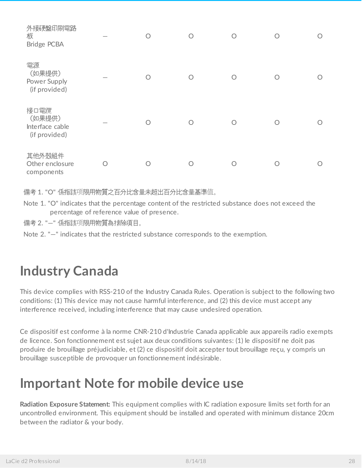| 外接硬盤印刷電路<br>板<br>Bridge PCBA                       | $\bigcirc$ | $\bigcirc$ | $\bigcirc$ | ∩ |  |
|----------------------------------------------------|------------|------------|------------|---|--|
| 電源<br>(如果提供)<br>Power Supply<br>(if provided)      | ∩          |            | ∩          |   |  |
| 接口電纜<br>(如果提供)<br>Interface cable<br>(if provided) | Ο          |            |            |   |  |
| 其他外殼組件<br>Other enclosure<br>components            | O          |            | ()         | O |  |

備考 1. "O" 係指該项限用物質之百分比含量未超出百分比含量基準值。

Note 1. "O" indicates that the percentage content of the restricted substance does not exceed the percentage of reference value of presence.

備考 2. "—" 係指該项限用物質為排除項目。

Note 2. "—" indicates that the restricted substance corresponds to the exemption.

## <span id="page-27-0"></span>**Industry Canada**

This device complies with RSS-210 of the Industry Canada Rules. Operation is subject to the following two conditions: (1) This device may not cause harmful interference, and (2) this device must accept any interference received, including interference that may cause undesired operation.

Ce dispositif est conforme à la norme CNR-210 d'Industrie Canada applicable aux appareils radio exempts de licence. Son fonctionnement est sujet aux deux conditions suivantes: (1) le dispositif ne doit pas produire de brouillage préjudiciable, et (2) ce dispositif doit accepter tout brouillage reçu, y compris un brouillage susceptible de provoquer un fonctionnement indésirable.

### <span id="page-27-1"></span>**Important Note for mobile device use**

**Radiation Exposure Statement:** This equipment complies with IC radiation exposure limits set forth for an uncontrolled environment. This equipment should be installed and operated with minimum distance 20cm between the radiator & your body.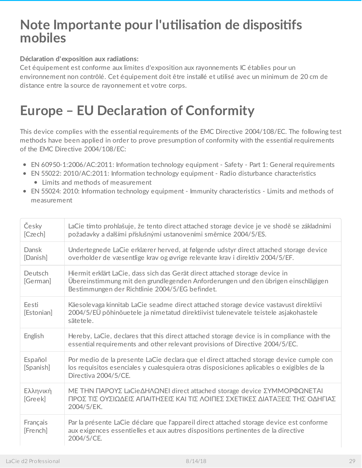### <span id="page-28-0"></span>**Note Importante pour l'utilisation de dispositifs mobiles**

#### **Déclaration d'exposition aux radiations:**

Cet équipement est conforme aux limites d'exposition aux rayonnements IC établies pour un environnement non contrôlé. Cet équipement doit être installé et utilisé avec un minimum de 20 cm de distance entre la source de rayonnement et votre corps.

# <span id="page-28-1"></span>**Europe – EU Declara7on of Conformity**

This device complies with the essential requirements of the EMC Directive 2004/108/EC. The following test methods have been applied in order to prove presumption of conformity with the essential requirements of the EMC Directive 2004/108/EC:

- EN 60950-1:2006/AC:2011: Information technology equipment Safety Part 1: General requirements
- EN 55022: 2010/AC:2011: Information technology equipment Radio disturbance characteristics Limits and methods of measurement
- EN 55024: 2010: Information technology equipment Immunity characteristics Limits and methods of measurement

| Česky<br>[Czech]     | LaCie tímto prohlašuje, že tento direct attached storage device je ve shodě se základními<br>požadavky a dalšími příslušnými ustanoveními směrnice 2004/5/ES.                                                        |
|----------------------|----------------------------------------------------------------------------------------------------------------------------------------------------------------------------------------------------------------------|
| Dansk<br>[Danish]    | Undertegnede LaCie erklærer herved, at følgende udstyr direct attached storage device<br>overholder de væsentlige krav og øvrige relevante krav i direktiv 2004/5/EF.                                                |
| Deutsch<br>[German]  | Hiermit erklärt LaCie, dass sich das Gerät direct attached storage device in<br>Übereinstimmung mit den grundlegenden Anforderungen und den übrigen einschlägigen<br>Bestimmungen der Richtlinie 2004/5/EG befindet. |
| Eesti<br>[Estonian]  | Käesolevaga kinnitab LaCie seadme direct attached storage device vastavust direktiivi<br>2004/5/EÜ põhinõuetele ja nimetatud direktiivist tulenevatele teistele asjakohastele<br>sätetele.                           |
| English              | Hereby, LaCie, declares that this direct attached storage device is in compliance with the<br>essential requirements and other relevant provisions of Directive 2004/5/EC.                                           |
| Español<br>[Spanish] | Por medio de la presente LaCie declara que el direct attached storage device cumple con<br>los requisitos esenciales y cualesquiera otras disposiciones aplicables o exigibles de la<br>Directiva 2004/5/CE.         |
| Ελληνική<br>[Greek]  | ΜΕ ΤΗΝ ΠΑΡΟΥΣ LaCieΔΗΛΩΝΕΙ direct attached storage device ΣΥΜΜΟΡΦΩΝΕΤΑΙ<br>ΠΡΟΣ ΤΙΣ ΟΥΣΙΩΔΕΙΣ ΑΠΑΙΤΗΣΕΙΣ ΚΑΙ ΤΙΣ ΛΟΙΠΕΣ ΣΧΕΤΙΚΕΣ ΔΙΑΤΑΞΕΙΣ ΤΗΣ ΟΔΗΓΙΑΣ<br>2004/5/EK.                                                 |
| Français<br>[French] | Par la présente LaCie déclare que l'appareil direct attached storage device est conforme<br>aux exigences essentielles et aux autres dispositions pertinentes de la directive<br>2004/5/CE.                          |